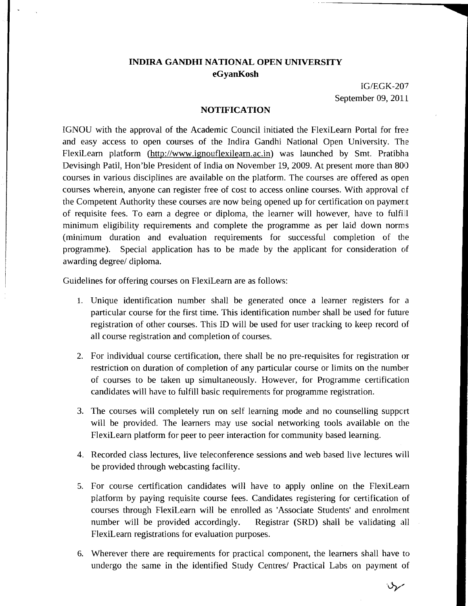## **INDIRA GANDHI NATIONAL OPEN UNIVERSITY**  *eG* **yanKosh**

IGIEGK-20'7 September 09, 2011

## **NOTIFICATION**

IGNOU with the approval of the Academic Council initiated the FlexiLearn Portal for free and easy access to open courses of the Indira Gandhi National Open University. The FlexiLearn platform (http://www.ignouflexilearn.ac.in) was launched by Smt. Pratibha Devisingh Patil, Hon'ble President of India on November 19, 2009. At present more than 800 courses in various disciplines are available on the platform. The courses are offered as open courses wherein, anyone can register free of cost to access online courses. With approval of the Competent Authority these courses are now being opened up for certification on payment of requisite fees. To earn a degree or diploma, the learner will however, have to fulfill minimum eligibility requirements and complete the programme as per laid down norms (minimum duration and evaluation requirements for successful completion of the programme). Special application has to be made by the applicant for consideration of awarding degree/ diploma.

Guidelines for offering courses on FlexiLearn are as follows:

- 1. Unique identification number shall be generated once a learner registers for a particular course for the first time. This identification number shall be used for future registration of other courses. This ID will be used for user tracking to keep record of all course registration and completion of courses.
- 2. For individual course certification, there shall be no pre-requisites for registration or restriction on duration of completion of any particular course or limits on the number of courses to be taken up simultaneously. However, for Programme certification candidates will have to fulfill basic requirements for programme registration.
- 3. The courses will completely run on self learning mode and no counselling support will be provided. The learners may use social networking tools available on the FlexiLearn platform for peer to peer interaction for community based learning.
- 4. Recorded class lectures, live teleconference sessions and web based live lectures will be provided through webcasting facility.
- 5. For course certification candidates will have to apply online on the FlexiLearn platform by paying requisite course fees. Candidates registering for certification of courses through FlexiLearn will be enrolled as 'Associate Students' and enrolment number will be provided accordingly. Registrar (SRD) shall be validating all FlexiLearn registrations for evaluation purposes.
- 6. Wherever there are requirements for practical component, the learners shall have to undergo the same in the identified Study Centres/ Practical Labs on payment of

 $\mathcal{Y}$